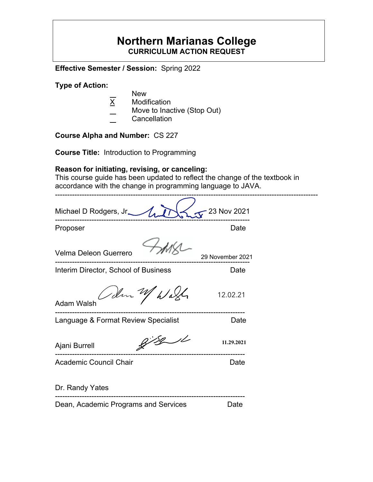# **Northern Marianas College CURRICULUM ACTION REQUEST**

**Effective Semester / Session:** Spring 2022

**Type of Action:**

- $\overline{X}$  New<br>Modit
- **Modification**
- Move to Inactive (Stop Out)
- **Cancellation**

**Course Alpha and Number:** CS 227

**Course Title:** Introduction to Programming

# **Reason for initiating, revising, or canceling:**

This course guide has been updated to reflect the change of the textbook in accordance with the change in programming language to JAVA.

| Michael D Rodgers, Jr_               | 23 Nov 2021      |
|--------------------------------------|------------------|
| Proposer                             | Date             |
| Velma Deleon Guerrero                | 29 November 2021 |
| Interim Director, School of Business | Date             |
| adm 1 Wash<br><b>Adam Walsh</b>      | 12.02.21         |
| Language & Format Review Specialist  | Date             |
| Ajani Burrell                        | 11.29.2021       |
| <b>Academic Council Chair</b>        | Date             |
| Dr. Randy Yates                      |                  |
| Dean, Academic Programs and Services | Date             |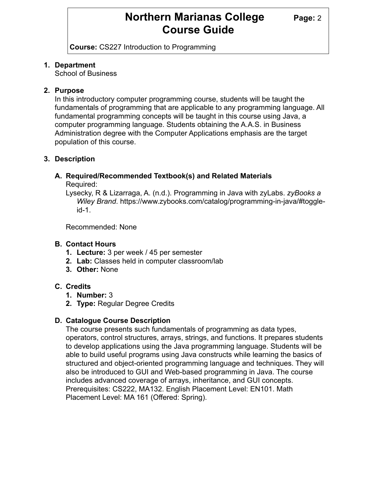# **Northern Marianas College Page: 2 Course Guide**

**Course:** CS227 Introduction to Programming

### **1. Department**

School of Business

### **2. Purpose**

In this introductory computer programming course, students will be taught the fundamentals of programming that are applicable to any programming language. All fundamental programming concepts will be taught in this course using Java, a computer programming language. Students obtaining the A.A.S. in Business Administration degree with the Computer Applications emphasis are the target population of this course.

### **3. Description**

# **A. Required/Recommended Textbook(s) and Related Materials**

Required:

Lysecky, R & Lizarraga, A. (n.d.). Programming in Java with zyLabs. *zyBooks a Wiley Brand*. https://www.zybooks.com/catalog/programming-in-java/#toggleid-1.

Recommended: None

# **B. Contact Hours**

- **1. Lecture:** 3 per week / 45 per semester
- **2. Lab:** Classes held in computer classroom/lab
- **3. Other:** None

# **C. Credits**

- **1. Number:** 3
- **2. Type:** Regular Degree Credits

# **D. Catalogue Course Description**

The course presents such fundamentals of programming as data types, operators, control structures, arrays, strings, and functions. It prepares students to develop applications using the Java programming language. Students will be able to build useful programs using Java constructs while learning the basics of structured and object-oriented programming language and techniques. They will also be introduced to GUI and Web-based programming in Java. The course includes advanced coverage of arrays, inheritance, and GUI concepts. Prerequisites: CS222, MA132. English Placement Level: EN101. Math Placement Level: MA 161 (Offered: Spring).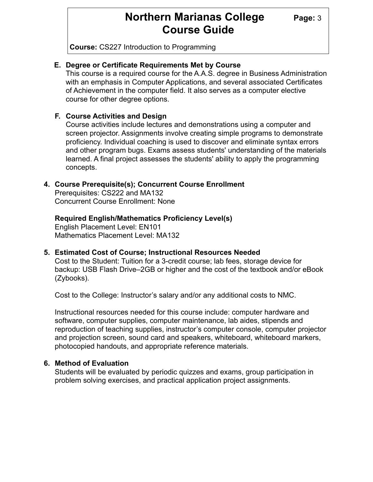# **Northern Marianas College** Page: 3 **Course Guide**

**Course:** CS227 Introduction to Programming

#### **E. Degree or Certificate Requirements Met by Course**

This course is a required course for the A.A.S. degree in Business Administration with an emphasis in Computer Applications, and several associated Certificates of Achievement in the computer field. It also serves as a computer elective course for other degree options.

#### **F. Course Activities and Design**

Course activities include lectures and demonstrations using a computer and screen projector. Assignments involve creating simple programs to demonstrate proficiency. Individual coaching is used to discover and eliminate syntax errors and other program bugs. Exams assess students' understanding of the materials learned. A final project assesses the students' ability to apply the programming concepts.

#### **4. Course Prerequisite(s); Concurrent Course Enrollment**

Prerequisites: CS222 and MA132 Concurrent Course Enrollment: None

#### **Required English/Mathematics Proficiency Level(s)**

English Placement Level: EN101 Mathematics Placement Level: MA132

#### **5. Estimated Cost of Course; Instructional Resources Needed**

Cost to the Student: Tuition for a 3-credit course; lab fees, storage device for backup: USB Flash Drive–2GB or higher and the cost of the textbook and/or eBook (Zybooks).

Cost to the College: Instructor's salary and/or any additional costs to NMC.

Instructional resources needed for this course include: computer hardware and software, computer supplies, computer maintenance, lab aides, stipends and reproduction of teaching supplies, instructor's computer console, computer projector and projection screen, sound card and speakers, whiteboard, whiteboard markers, photocopied handouts, and appropriate reference materials.

### **6. Method of Evaluation**

Students will be evaluated by periodic quizzes and exams, group participation in problem solving exercises, and practical application project assignments.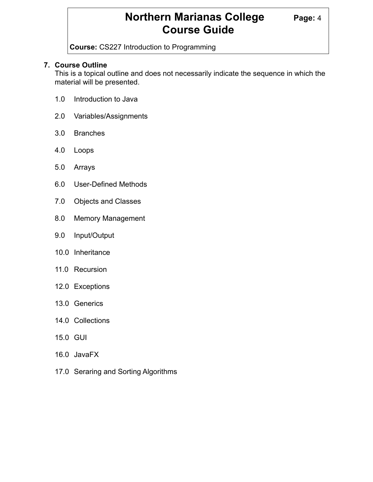# **Northern Marianas College Page: 4 Course Guide**

**Course:** CS227 Introduction to Programming

### **7. Course Outline**

This is a topical outline and does not necessarily indicate the sequence in which the material will be presented.

- 1.0 Introduction to Java
- 2.0 Variables/Assignments
- 3.0 Branches
- 4.0 Loops
- 5.0 Arrays
- 6.0 User-Defined Methods
- 7.0 Objects and Classes
- 8.0 Memory Management
- 9.0 Input/Output
- 10.0 Inheritance
- 11.0 Recursion
- 12.0 Exceptions
- 13.0 Generics
- 14.0 Collections
- 15.0 GUI
- 16.0 JavaFX
- 17.0 Seraring and Sorting Algorithms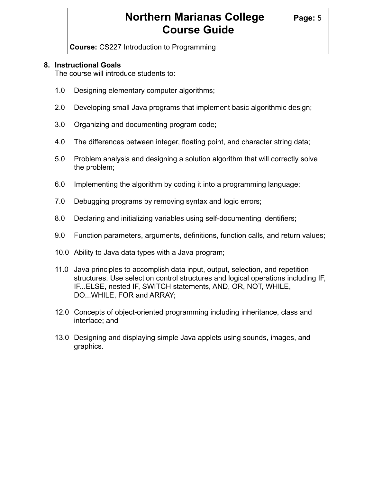# **Northern Marianas College Page: 5 Course Guide**

**Course:** CS227 Introduction to Programming

### **8. Instructional Goals**

The course will introduce students to:

- 1.0 Designing elementary computer algorithms;
- 2.0 Developing small Java programs that implement basic algorithmic design;
- 3.0 Organizing and documenting program code;
- 4.0 The differences between integer, floating point, and character string data;
- 5.0 Problem analysis and designing a solution algorithm that will correctly solve the problem;
- 6.0 Implementing the algorithm by coding it into a programming language;
- 7.0 Debugging programs by removing syntax and logic errors;
- 8.0 Declaring and initializing variables using self-documenting identifiers;
- 9.0 Function parameters, arguments, definitions, function calls, and return values;
- 10.0 Ability to Java data types with a Java program;
- 11.0 Java principles to accomplish data input, output, selection, and repetition structures. Use selection control structures and logical operations including IF, IF...ELSE, nested IF, SWITCH statements, AND, OR, NOT, WHILE, DO...WHILE, FOR and ARRAY;
- 12.0 Concepts of object-oriented programming including inheritance, class and interface; and
- 13.0 Designing and displaying simple Java applets using sounds, images, and graphics.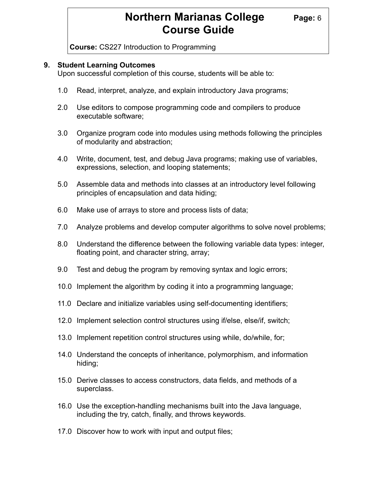# **Northern Marianas College Page: 6 Course Guide**

**Course:** CS227 Introduction to Programming

#### **9. Student Learning Outcomes**

Upon successful completion of this course, students will be able to:

- 1.0 Read, interpret, analyze, and explain introductory Java programs;
- 2.0 Use editors to compose programming code and compilers to produce executable software;
- 3.0 Organize program code into modules using methods following the principles of modularity and abstraction;
- 4.0 Write, document, test, and debug Java programs; making use of variables, expressions, selection, and looping statements;
- 5.0 Assemble data and methods into classes at an introductory level following principles of encapsulation and data hiding;
- 6.0 Make use of arrays to store and process lists of data;
- 7.0 Analyze problems and develop computer algorithms to solve novel problems;
- 8.0 Understand the difference between the following variable data types: integer, floating point, and character string, array;
- 9.0 Test and debug the program by removing syntax and logic errors;
- 10.0 Implement the algorithm by coding it into a programming language;
- 11.0 Declare and initialize variables using self-documenting identifiers;
- 12.0 Implement selection control structures using if/else, else/if, switch;
- 13.0 Implement repetition control structures using while, do/while, for;
- 14.0 Understand the concepts of inheritance, polymorphism, and information hiding;
- 15.0 Derive classes to access constructors, data fields, and methods of a superclass.
- 16.0 Use the exception-handling mechanisms built into the Java language, including the try, catch, finally, and throws keywords.
- 17.0 Discover how to work with input and output files;